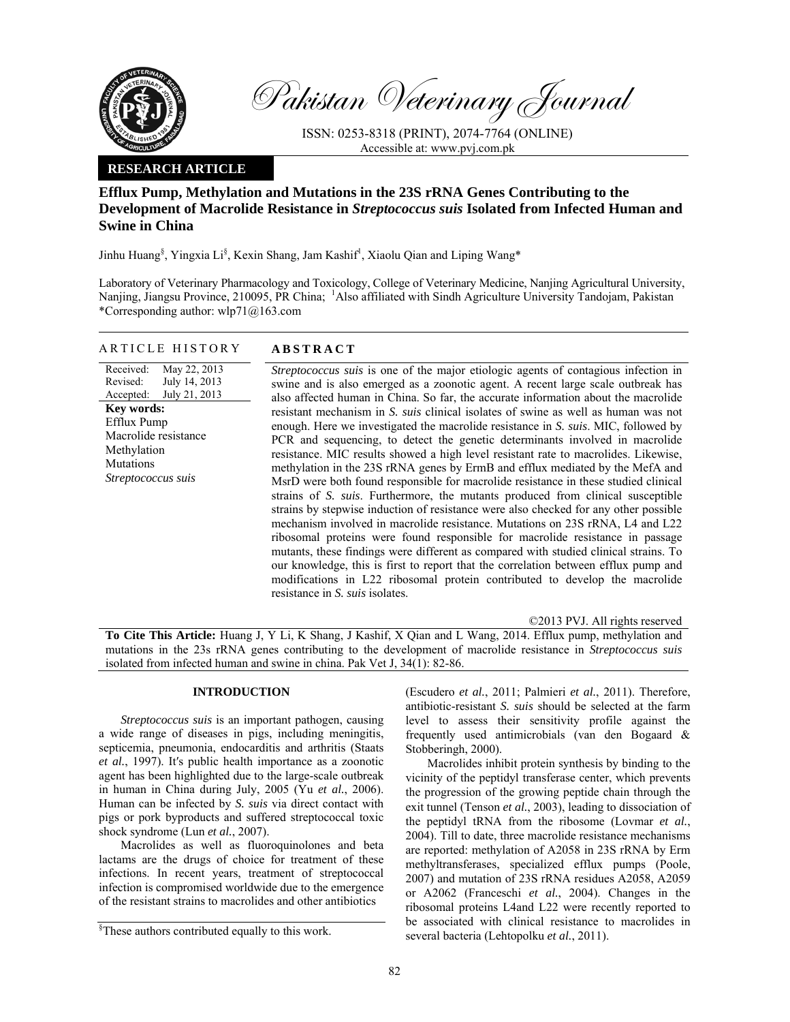

Pakistan Veterinary Journal

ISSN: 0253-8318 (PRINT), 2074-7764 (ONLINE) Accessible at: www.pvj.com.pk

# **RESEARCH ARTICLE**

# **Efflux Pump, Methylation and Mutations in the 23S rRNA Genes Contributing to the Development of Macrolide Resistance in** *Streptococcus suis* **Isolated from Infected Human and Swine in China**

Jinhu Huang<sup>§</sup>, Yingxia Li<sup>§</sup>, Kexin Shang, Jam Kashif<sup>l</sup>, Xiaolu Qian and Liping Wang\*

Laboratory of Veterinary Pharmacology and Toxicology, College of Veterinary Medicine, Nanjing Agricultural University, Nanjing, Jiangsu Province, 210095, PR China; <sup>1</sup>Also affiliated with Sindh Agriculture University Tandojam, Pakistan \*Corresponding author: wlp71@163.com

## ARTICLE HISTORY **ABSTRACT**

Received: Revised: Accepted: May 22, 2013 July 14, 2013 July 21, 2013 **Key words:**  Efflux Pump Macrolide resistance Methylation **Mutations** *Streptococcus suis* 

*Streptococcus suis* is one of the major etiologic agents of contagious infection in swine and is also emerged as a zoonotic agent. A recent large scale outbreak has also affected human in China. So far, the accurate information about the macrolide resistant mechanism in *S. suis* clinical isolates of swine as well as human was not enough. Here we investigated the macrolide resistance in *S. suis*. MIC, followed by PCR and sequencing, to detect the genetic determinants involved in macrolide resistance. MIC results showed a high level resistant rate to macrolides. Likewise, methylation in the 23S rRNA genes by ErmB and efflux mediated by the MefA and MsrD were both found responsible for macrolide resistance in these studied clinical strains of *S. suis*. Furthermore, the mutants produced from clinical susceptible strains by stepwise induction of resistance were also checked for any other possible mechanism involved in macrolide resistance. Mutations on 23S rRNA, L4 and L22 ribosomal proteins were found responsible for macrolide resistance in passage mutants, these findings were different as compared with studied clinical strains. To our knowledge, this is first to report that the correlation between efflux pump and modifications in L22 ribosomal protein contributed to develop the macrolide resistance in *S. suis* isolates.

©2013 PVJ. All rights reserved

**To Cite This Article:** Huang J, Y Li, K Shang, J Kashif, X Qian and L Wang, 2014. Efflux pump, methylation and mutations in the 23s rRNA genes contributing to the development of macrolide resistance in *Streptococcus suis* isolated from infected human and swine in china. Pak Vet J, 34(1): 82-86.

## **INTRODUCTION**

*Streptococcus suis* is an important pathogen, causing a wide range of diseases in pigs, including meningitis, septicemia, pneumonia, endocarditis and arthritis (Staats *et al.*, 1997). It′s public health importance as a zoonotic agent has been highlighted due to the large-scale outbreak in human in China during July, 2005 (Yu *et al.*, 2006). Human can be infected by *S. suis* via direct contact with pigs or pork byproducts and suffered streptococcal toxic shock syndrome (Lun *et al.*, 2007).

Macrolides as well as fluoroquinolones and beta lactams are the drugs of choice for treatment of these infections. In recent years, treatment of streptococcal infection is compromised worldwide due to the emergence of the resistant strains to macrolides and other antibiotics

(Escudero *et al.*, 2011; Palmieri *et al.*, 2011). Therefore, antibiotic-resistant *S. suis* should be selected at the farm level to assess their sensitivity profile against the frequently used antimicrobials (van den Bogaard & Stobberingh, 2000).

Macrolides inhibit protein synthesis by binding to the vicinity of the peptidyl transferase center, which prevents the progression of the growing peptide chain through the exit tunnel (Tenson *et al.*, 2003), leading to dissociation of the peptidyl tRNA from the ribosome (Lovmar *et al.*, 2004). Till to date, three macrolide resistance mechanisms are reported: methylation of A2058 in 23S rRNA by Erm methyltransferases, specialized efflux pumps (Poole, 2007) and mutation of 23S rRNA residues A2058, A2059 or A2062 (Franceschi *et al.*, 2004). Changes in the ribosomal proteins L4and L22 were recently reported to be associated with clinical resistance to macrolides in several bacteria (Lehtopolku *et al.*, 2011).

<sup>§</sup> These authors contributed equally to this work.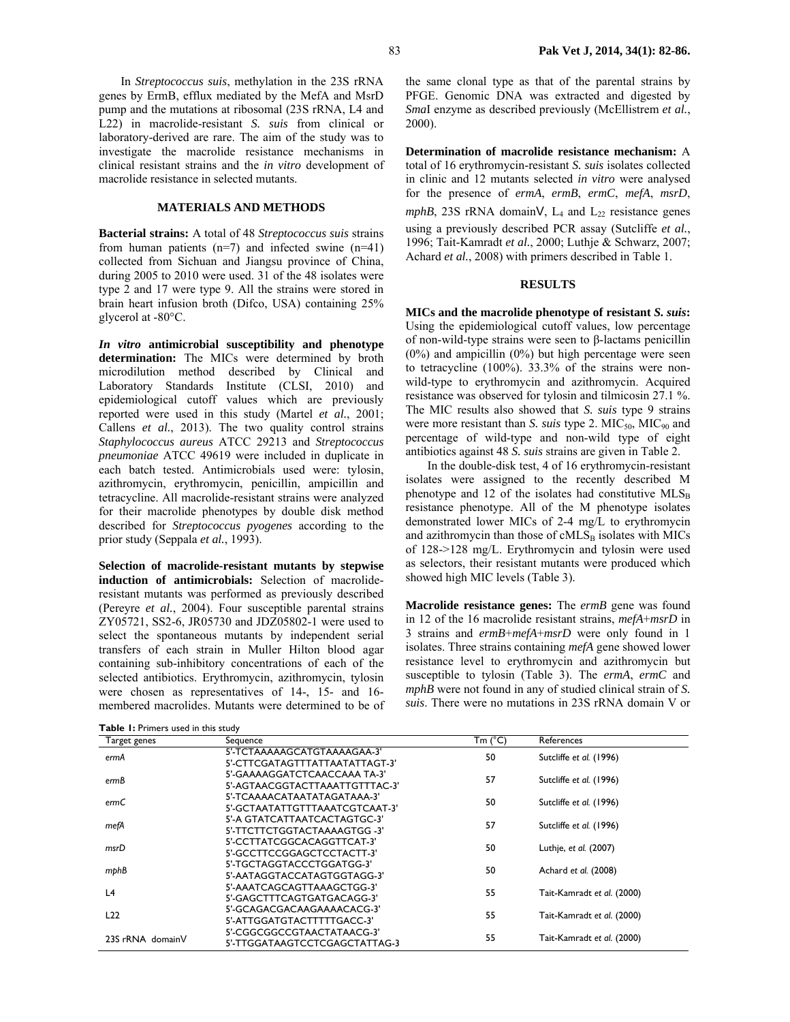In *Streptococcus suis*, methylation in the 23S rRNA genes by ErmB, efflux mediated by the MefA and MsrD pump and the mutations at ribosomal (23S rRNA, L4 and L22) in macrolide-resistant *S. suis* from clinical or laboratory-derived are rare. The aim of the study was to investigate the macrolide resistance mechanisms in clinical resistant strains and the *in vitro* development of macrolide resistance in selected mutants.

## **MATERIALS AND METHODS**

**Bacterial strains:** A total of 48 *Streptococcus suis* strains from human patients  $(n=7)$  and infected swine  $(n=41)$ collected from Sichuan and Jiangsu province of China, during 2005 to 2010 were used. 31 of the 48 isolates were type 2 and 17 were type 9. All the strains were stored in brain heart infusion broth (Difco, USA) containing 25% glycerol at -80°C.

*In vitro* **antimicrobial susceptibility and phenotype determination:** The MICs were determined by broth microdilution method described by Clinical and Laboratory Standards Institute (CLSI, 2010) and epidemiological cutoff values which are previously reported were used in this study (Martel *et al.*, 2001; Callens *et al.*, 2013). The two quality control strains *Staphylococcus aureus* ATCC 29213 and *Streptococcus pneumoniae* ATCC 49619 were included in duplicate in each batch tested. Antimicrobials used were: tylosin, azithromycin, erythromycin, penicillin, ampicillin and tetracycline. All macrolide-resistant strains were analyzed for their macrolide phenotypes by double disk method described for *Streptococcus pyogenes* according to the prior study (Seppala *et al.*, 1993).

**Selection of macrolide-resistant mutants by stepwise induction of antimicrobials:** Selection of macrolideresistant mutants was performed as previously described (Pereyre *et al.*, 2004). Four susceptible parental strains ZY05721, SS2-6, JR05730 and JDZ05802-1 were used to select the spontaneous mutants by independent serial transfers of each strain in Muller Hilton blood agar containing sub-inhibitory concentrations of each of the selected antibiotics. Erythromycin, azithromycin, tylosin were chosen as representatives of 14-, 15- and 16 membered macrolides. Mutants were determined to be of

**Table 1:** Primers used in this study

the same clonal type as that of the parental strains by PFGE. Genomic DNA was extracted and digested by *Sma*I enzyme as described previously (McEllistrem *et al.*, 2000).

**Determination of macrolide resistance mechanism:** A total of 16 erythromycin-resistant *S. suis* isolates collected in clinic and 12 mutants selected *in vitro* were analysed for the presence of *ermA*, *ermB*, *ermC*, *mefA*, *msrD*, *mphB*, 23S rRNA domain $V$ ,  $L_4$  and  $L_{22}$  resistance genes using a previously described PCR assay (Sutcliffe *et al.*, 1996; Tait-Kamradt *et al.*, 2000; Luthje & Schwarz, 2007; Achard *et al.*, 2008) with primers described in Table 1.

# **RESULTS**

**MICs and the macrolide phenotype of resistant** *S. suis***:**  Using the epidemiological cutoff values, low percentage of non-wild-type strains were seen to β-lactams penicillin (0%) and ampicillin (0%) but high percentage were seen to tetracycline (100%). 33.3% of the strains were nonwild-type to erythromycin and azithromycin. Acquired resistance was observed for tylosin and tilmicosin 27.1 %. The MIC results also showed that *S. suis* type 9 strains were more resistant than *S. suis* type 2. MIC<sub>50</sub>, MIC<sub>90</sub> and percentage of wild-type and non-wild type of eight antibiotics against 48 *S. suis* strains are given in Table 2.

In the double-disk test, 4 of 16 erythromycin-resistant isolates were assigned to the recently described M phenotype and 12 of the isolates had constitutive  $MLS_B$ resistance phenotype. All of the M phenotype isolates demonstrated lower MICs of 2-4 mg/L to erythromycin and azithromycin than those of  $\text{cMLS}_B$  isolates with MICs of 128->128 mg/L. Erythromycin and tylosin were used as selectors, their resistant mutants were produced which showed high MIC levels (Table 3).

**Macrolide resistance genes:** The *ermB* gene was found in 12 of the 16 macrolide resistant strains, *mefA*+*msrD* in 3 strains and *ermB*+*mefA*+*msrD* were only found in 1 isolates. Three strains containing *mefA* gene showed lower resistance level to erythromycin and azithromycin but susceptible to tylosin (Table 3). The *ermA*, *ermC* and *mphB* were not found in any of studied clinical strain of *S. suis*. There were no mutations in 23S rRNA domain V or

| Target genes     | Sequence                                                       | Tm (°C) | References                 |
|------------------|----------------------------------------------------------------|---------|----------------------------|
| ermA             | 5'-TCTAAAAAGCATGTAAAAGAA-3'<br>5'-CTTCGATAGTTTATTAATATTAGT-3'  | 50      | Sutcliffe et al. (1996)    |
| ermB             | 5'-GAAAAGGATCTCAACCAAA TA-3'<br>5'-AGTAACGGTACTTAAATTGTTTAC-3' | 57      | Sutcliffe et al. (1996)    |
| ermC             | 5'-TCAAAACATAATATAGATAAA-3'<br>5'-GCTAATATTGTTTAAATCGTCAAT-3'  | 50      | Sutcliffe et al. (1996)    |
| mefA             | 5'-A GTATCATTAATCACTAGTGC-3'<br>5'-TTCTTCTGGTACTAAAAGTGG -3'   | 57      | Sutcliffe et al. (1996)    |
| msrD             | 5'-CCTTATCGGCACAGGTTCAT-3'<br>5'-GCCTTCCGGAGCTCCTACTT-3'       | 50      | Luthje, et al. (2007)      |
| mphB             | 5'-TGCTAGGTACCCTGGATGG-3'<br>5'-AATAGGTACCATAGTGGTAGG-3'       | 50      | Achard et al. (2008)       |
| L4               | 5'-AAATCAGCAGTTAAAGCTGG-3'<br>5'-GAGCTTTCAGTGATGACAGG-3'       | 55      | Tait-Kamradt et al. (2000) |
| L22              | 5'-GCAGACGACAAGAAAACACG-3'<br>5'-ATTGGATGTACTTTTTGACC-3'       | 55      | Tait-Kamradt et al. (2000) |
| 23S rRNA domainV | 5'-CGGCGGCCGTAACTATAACG-3'<br>5'-TTGGATAAGTCCTCGAGCTATTAG-3    | 55      | Tait-Kamradt et al. (2000) |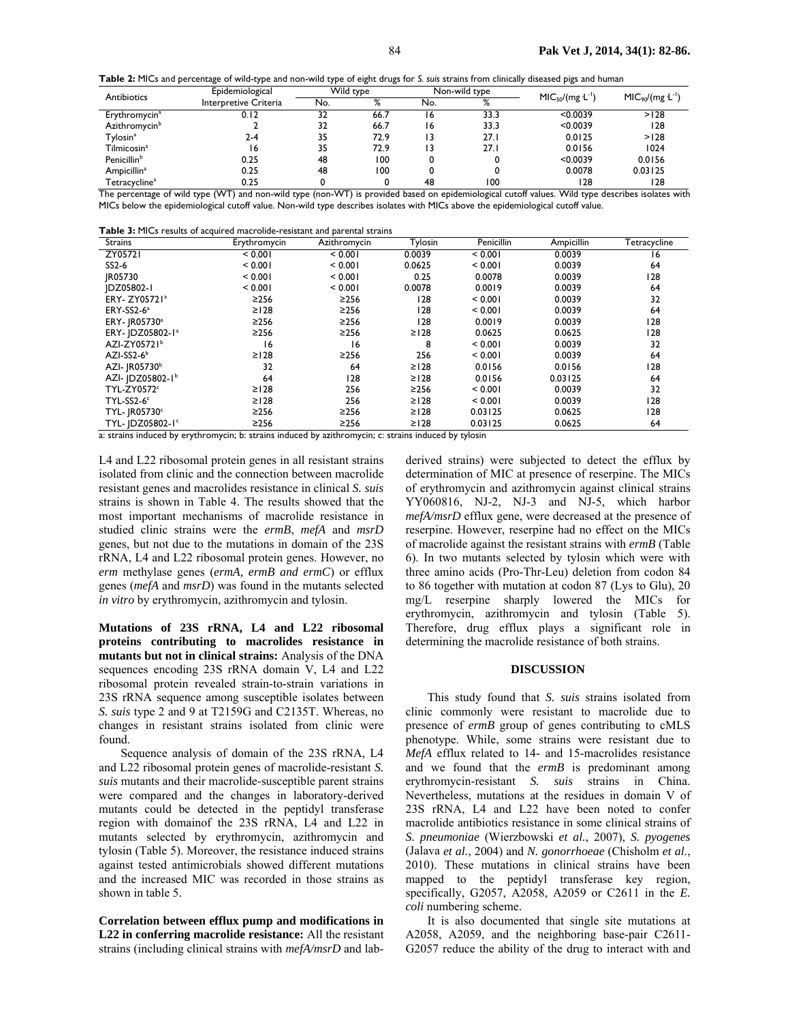**Table 2:** MICs and percentage of wild-type and non-wild type of eight drugs for *S. suis* strains from clinically diseased pigs and human

| Antibiotics                                                      | Epidemiological       | Wild type |               | Non-wild type |                                                                                                                                                                                                                                           | $MIC50/(mg L^{-1})$ | $MIC90/(mg L-1)$                                                                                                                           |
|------------------------------------------------------------------|-----------------------|-----------|---------------|---------------|-------------------------------------------------------------------------------------------------------------------------------------------------------------------------------------------------------------------------------------------|---------------------|--------------------------------------------------------------------------------------------------------------------------------------------|
|                                                                  | Interpretive Criteria | No.       | $\mathsf{o}/$ | No.           | $\mathsf{o}$<br>$\sqrt{2}$                                                                                                                                                                                                                |                     |                                                                                                                                            |
| Erythromycin <sup>a</sup>                                        | 0.12                  | 32        | 66.7          | 16            | 33.3                                                                                                                                                                                                                                      | < 0.0039            | >128                                                                                                                                       |
| Azithromycin <sup>b</sup>                                        |                       | 32        | 66.7          | ۱6            | 33.3                                                                                                                                                                                                                                      | < 0.0039            | 128                                                                                                                                        |
| Tylosin <sup>a</sup>                                             | 2-4                   | 35        | 72.9          | 13            | 27.1                                                                                                                                                                                                                                      | 0.0125              | >128                                                                                                                                       |
| Tilmicosin <sup>a</sup>                                          | 16                    | 35        | 72.9          | ۱3            | 27.1                                                                                                                                                                                                                                      | 0.0156              | 1024                                                                                                                                       |
| Penicillin <sup>b</sup>                                          | 0.25                  | 48        | 100           |               |                                                                                                                                                                                                                                           | < 0.0039            | 0.0156                                                                                                                                     |
| Ampicillin <sup>a</sup>                                          | 0.25                  | 48        | 100           |               |                                                                                                                                                                                                                                           | 0.0078              | 0.03125                                                                                                                                    |
| Tetracycline <sup>a</sup><br>The contract of the contract of the | 0.25<br>$\mathbf{A}$  |           |               | 48            | 100<br>$\mathcal{A}$ and the set of the set of the set of the set of the set of the set of the set of the set of the set of the set of the set of the set of the set of the set of the set of the set of the set of the set of the set of | 128                 | 128<br>$\mathbf{M}$ and $\mathbf{M}$ and $\mathbf{M}$ and $\mathbf{M}$ and $\mathbf{M}$ and $\mathbf{M}$ and $\mathbf{M}$ and $\mathbf{M}$ |

The percentage of wild type (WT) and non-wild type (non-WT) is provided based on epidemiological cutoff values. Wild type describes isolates with MICs below the epidemiological cutoff value. Non-wild type describes isolates with MICs above the epidemiological cutoff value.

| <b>Table 3:</b> MICs results of acquired macrolide-resistant and parental strains |
|-----------------------------------------------------------------------------------|
|-----------------------------------------------------------------------------------|

| <b>Strains</b>               | Erythromycin | par critari coranic<br>Azithromycin | Tylosin    | Penicillin | Ampicillin | Tetracycline |
|------------------------------|--------------|-------------------------------------|------------|------------|------------|--------------|
| ZY05721                      | < 0.001      | < 0.001                             | 0.0039     | < 0.001    | 0.0039     | 16           |
| SS2-6                        | < 0.001      | < 0.001                             | 0.0625     | < 0.001    | 0.0039     | 64           |
| JR05730                      | < 0.001      | < 0.001                             | 0.25       | 0.0078     | 0.0039     | 128          |
| IDZ05802-I                   | < 0.001      | < 0.001                             | 0.0078     | 0.0019     | 0.0039     | 64           |
| ERY- ZY05721ª                | $\geq$ 256   | $\geq$ 256                          | 128        | < 0.001    | 0.0039     | 32           |
| ERY-SS2-6 <sup>a</sup>       | $\geq$   28  | $\geq$ 256                          | 128        | < 0.001    | 0.0039     | 64           |
| ERY- JR05730 <sup>a</sup>    | $\geq$ 256   | $\geq$ 256                          | 128        | 0.0019     | 0.0039     | 128          |
| ERY- JDZ05802-1 <sup>a</sup> | $\geq$ 256   | $\geq$ 256                          | $\geq$ 128 | 0.0625     | 0.0625     | 128          |
| AZI-ZY05721 <sup>b</sup>     | 16           | 16                                  | 8          | < 0.001    | 0.0039     | 32           |
| $AZI-SS2-6b$                 | $\geq$   28  | $\geq$ 256                          | 256        | < 0.001    | 0.0039     | 64           |
| AZI- JR05730 <sup>b</sup>    | 32           | 64                                  | $\geq$ 128 | 0.0156     | 0.0156     | 128          |
| AZI- JDZ05802-1b             | 64           | 128                                 | $\geq$ 128 | 0.0156     | 0.03125    | 64           |
| TYL-ZY0572c                  | $\geq$   28  | 256                                 | $\geq$ 256 | < 0.001    | 0.0039     | 32           |
| TYL-SS2-6c                   | $\geq$   28  | 256                                 | $\geq$ 128 | < 0.001    | 0.0039     | 128          |
| <b>TYL- JR05730°</b>         | $\geq$ 256   | $\geq$ 256                          | $\geq$ 128 | 0.03125    | 0.0625     | 128          |
| TYL- IDZ05802-1°             | $\geq$ 256   | $\geq$ 256                          | $\geq$ 128 | 0.03125    | 0.0625     | 64           |

a: strains induced by erythromycin; b: strains induced by azithromycin; c: strains induced by tylosin

L4 and L22 ribosomal protein genes in all resistant strains isolated from clinic and the connection between macrolide resistant genes and macrolides resistance in clinical *S. suis*  strains is shown in Table 4. The results showed that the most important mechanisms of macrolide resistance in studied clinic strains were the *ermB*, *mefA* and *msrD* genes, but not due to the mutations in domain of the 23S rRNA, L4 and L22 ribosomal protein genes. However, no *erm* methylase genes (*ermA, ermB and ermC*) or efflux genes (*mefA* and *msrD*) was found in the mutants selected *in vitro* by erythromycin, azithromycin and tylosin.

**Mutations of 23S rRNA, L4 and L22 ribosomal proteins contributing to macrolides resistance in mutants but not in clinical strains:** Analysis of the DNA sequences encoding 23S rRNA domain V, L4 and L22 ribosomal protein revealed strain-to-strain variations in 23S rRNA sequence among susceptible isolates between *S. suis* type 2 and 9 at T2159G and C2135T. Whereas, no changes in resistant strains isolated from clinic were found.

Sequence analysis of domain of the 23S rRNA, L4 and L22 ribosomal protein genes of macrolide-resistant *S. suis* mutants and their macrolide-susceptible parent strains were compared and the changes in laboratory-derived mutants could be detected in the peptidyl transferase region with domainof the 23S rRNA, L4 and L22 in mutants selected by erythromycin, azithromycin and tylosin (Table 5). Moreover, the resistance induced strains against tested antimicrobials showed different mutations and the increased MIC was recorded in those strains as shown in table 5.

**Correlation between efflux pump and modifications in L22 in conferring macrolide resistance:** All the resistant strains (including clinical strains with *mefA/msrD* and labderived strains) were subjected to detect the efflux by determination of MIC at presence of reserpine. The MICs of erythromycin and azithromycin against clinical strains YY060816, NJ-2, NJ-3 and NJ-5, which harbor *mefA/msrD* efflux gene, were decreased at the presence of reserpine. However, reserpine had no effect on the MICs of macrolide against the resistant strains with *ermB* (Table 6). In two mutants selected by tylosin which were with three amino acids (Pro-Thr-Leu) deletion from codon 84 to 86 together with mutation at codon 87 (Lys to Glu), 20 mg/L reserpine sharply lowered the MICs for erythromycin, azithromycin and tylosin (Table 5). Therefore, drug efflux plays a significant role in determining the macrolide resistance of both strains.

#### **DISCUSSION**

This study found that *S. suis* strains isolated from clinic commonly were resistant to macrolide due to presence of *ermB* group of genes contributing to cMLS phenotype. While, some strains were resistant due to *MefA* efflux related to 14- and 15-macrolides resistance and we found that the *ermB* is predominant among erythromycin-resistant *S. suis* strains in China. Nevertheless, mutations at the residues in domain V of 23S rRNA, L4 and L22 have been noted to confer macrolide antibiotics resistance in some clinical strains of *S. pneumoniae* (Wierzbowski *et al.*, 2007), *S. pyogenes*  (Jalava *et al.*, 2004) and *N. gonorrhoeae* (Chisholm *et al.*, 2010). These mutations in clinical strains have been mapped to the peptidyl transferase key region, specifically, G2057, A2058, A2059 or C2611 in the *E. coli* numbering scheme.

It is also documented that single site mutations at A2058, A2059, and the neighboring base-pair C2611- G2057 reduce the ability of the drug to interact with and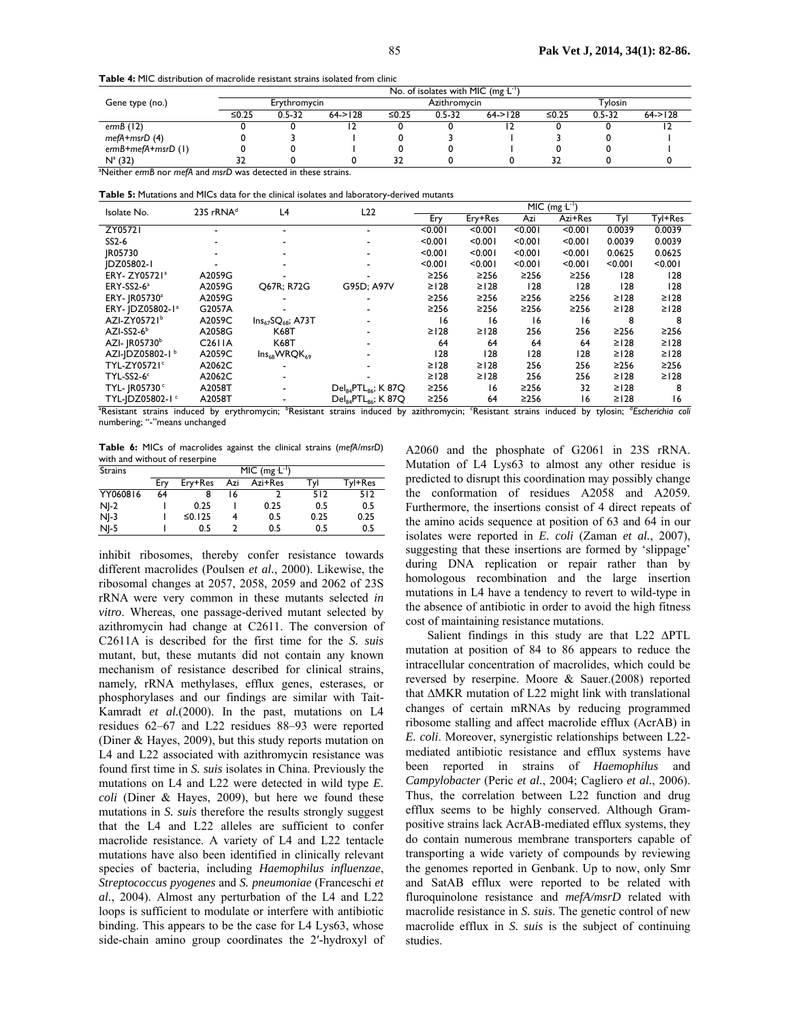**Table 4:** MIC distribution of macrolide resistant strains isolated from clinic

|                                                                            |              |            |              |              | No. of isolates with MIC (mg $L^{-1}$ ) |          |         |            |              |
|----------------------------------------------------------------------------|--------------|------------|--------------|--------------|-----------------------------------------|----------|---------|------------|--------------|
| Gene type (no.)                                                            | Erythromycin |            |              | Azithromycin |                                         |          | Tylosin |            |              |
|                                                                            | ≤0.25        | $0.5 - 32$ | $64 - > 128$ | ≤0.25        | $0.5 - 32$                              | 64 > 128 | ≤0.25   | $0.5 - 32$ | $64 - > 128$ |
| erm $B(12)$                                                                |              |            |              |              |                                         |          |         |            |              |
| $mefA + msrD(4)$                                                           |              |            |              |              |                                         |          |         |            |              |
| $ermB + mefA + msrD(1)$                                                    |              |            |              |              |                                         |          |         |            |              |
| $N^a$ (32)                                                                 |              |            |              | 32           |                                         |          | 32      |            |              |
| <sup>a</sup> Neither ermB nor mefA and msrD was detected in these strains. |              |            |              |              |                                         |          |         |            |              |

**Table 5:** Mutations and MICs data for the clinical isolates and laboratory-derived mutants

| Isolate No.                                | 23S rRNA <sup>d</sup> | L4                       | L22                                         | $MIC (mg L-1)$ |            |            |                 |             |                               |
|--------------------------------------------|-----------------------|--------------------------|---------------------------------------------|----------------|------------|------------|-----------------|-------------|-------------------------------|
|                                            |                       |                          |                                             | Ery            | Ery+Res    | Azi        | Azi+Res         | Tyl         | Tyl+Res                       |
| ZY05721                                    |                       |                          |                                             | < 0.001        | < 0.001    | < 0.001    | < 0.001         | 0.0039      | 0.0039                        |
| SS2-6                                      |                       |                          |                                             | < 0.001        | < 0.001    | < 0.001    | < 0.001         | 0.0039      | 0.0039                        |
| IR05730                                    |                       |                          |                                             | < 0.001        | < 0.001    | < 0.001    | < 0.001         | 0.0625      | 0.0625                        |
| IDZ05802-I                                 |                       |                          |                                             | < 0.001        | < 0.001    | < 0.001    | < 0.001         | < 0.001     | < 0.001                       |
| ERY- ZY05721 <sup>ª</sup>                  | A2059G                |                          |                                             | $\geq$ 256     | $\geq$ 256 | $\geq$ 256 | ≥256            | 128         | 128                           |
| ERY-SS2-6 <sup>a</sup>                     | A2059G                | Q67R; R72G               | G95D: A97V                                  | $\geq$   28    | $\geq$ 128 | 128        | 128             | 128         | 128                           |
| ERY- JR05730 <sup>a</sup>                  | A2059G                |                          |                                             | $\geq$ 256     | $\geq$ 256 | $\geq$ 256 | ≥256            | $\geq$   28 | $\geq$   28                   |
| ERY-   DZ05802-1 <sup>a</sup>              | G2057A                |                          |                                             | $\geq$ 256     | $\geq$ 256 | $\geq$ 256 | $\geq$ 256      | $\geq$   28 | $\geq$   28                   |
| AZI-ZY05721 <sup>b</sup>                   | A2059C                | $Ins_{67}SQ_{68}$ ; A73T |                                             | 16             | 16         | 16         | 16              | 8           |                               |
| $AZI-SS2-6b$                               | A2058G                | K68T                     |                                             | $\geq$   28    | $\geq$ 128 | 256        | 256             | $\geq$ 256  | $\geq$ 256                    |
| AZI- JR05730 <sup>b</sup>                  | C2611A                | <b>K68T</b>              |                                             | 64             | 64         | 64         | 64              | $\geq$   28 | $\geq$   28                   |
| AZI-JDZ05802-1 <sup>b</sup>                | A2059C                | $Ins_{68}WRQK_{69}$      |                                             | 128            | 128        | 128        | 128             | $\geq$   28 | $\geq$   28                   |
| TYL-ZY05721c                               | A2062C                |                          |                                             | $\geq$   28    | $\geq$ 128 | 256        | 256             | $\geq$ 256  | $\geq$ 256                    |
| TYL-SS2-6c                                 | A2062C                |                          |                                             | $\geq$   28    | $\geq$ 128 | 256        | 256             | $\geq$ 128  | $\geq$   28                   |
| TYL- JR05730 <sup>c</sup>                  | A2058T                |                          | Del <sub>84</sub> PTL <sub>86</sub> ; K 87Q | $\geq$ 256     | 16         | $\geq$ 256 | 32              | $\geq$   28 | 8                             |
| TYL-IDZ05802-1 <sup>c</sup>                | A2058T                |                          | Del <sub>84</sub> PTL <sub>86</sub> ; K 87Q | $\geq$ 256     | 64         | $\geq$ 256 | 16              | $\geq$   28 | 16                            |
| Resistant strains induced by erythromycin; |                       |                          | <sup>b</sup> Resistant strains induced by   | azithromycin;  | Resistant  |            | strains induced | by tylosin; | <sup>d</sup> Escherichia coli |

*Escherichia coli* numbering; "-"means unchanged

**Table 6:** MICs of macrolides against the clinical strains (*mefA/msrD*) with and without of reserpine

| <b>Strains</b> | $MIC (mg L-1)$ |         |     |         |      |         |  |  |
|----------------|----------------|---------|-----|---------|------|---------|--|--|
|                | Erv            | Ery+Res | Azi | Azi+Res | Tyl  | Tyl+Res |  |  |
| YY060816       | 64             | 8       | 16  |         | 512  | 512     |  |  |
| $NI-2$         |                | 0.25    |     | 0.25    | 0.5  | 0.5     |  |  |
| $NI-3$         |                | ≤0.125  |     | 0.5     | 0.25 | 0.25    |  |  |
| $NI-5$         |                | 0.5     |     | 0.5     | 0.5  | 0.5     |  |  |

inhibit ribosomes, thereby confer resistance towards different macrolides (Poulsen *et al.*, 2000). Likewise, the ribosomal changes at 2057, 2058, 2059 and 2062 of 23S rRNA were very common in these mutants selected *in vitro*. Whereas, one passage-derived mutant selected by azithromycin had change at C2611. The conversion of C2611A is described for the first time for the *S. suis*  mutant, but, these mutants did not contain any known mechanism of resistance described for clinical strains, namely, rRNA methylases, efflux genes, esterases, or phosphorylases and our findings are similar with Tait-Kamradt *et al.*(2000). In the past, mutations on L4 residues 62–67 and L22 residues 88–93 were reported (Diner & Hayes, 2009), but this study reports mutation on L4 and L22 associated with azithromycin resistance was found first time in *S. suis* isolates in China. Previously the mutations on L4 and L22 were detected in wild type *E. coli* (Diner & Hayes, 2009), but here we found these mutations in *S. suis* therefore the results strongly suggest that the L4 and L22 alleles are sufficient to confer macrolide resistance. A variety of L4 and L22 tentacle mutations have also been identified in clinically relevant species of bacteria, including *Haemophilus influenzae*, *Streptococcus pyogenes* and *S. pneumoniae* (Franceschi *et al.*, 2004). Almost any perturbation of the L4 and L22 loops is sufficient to modulate or interfere with antibiotic binding. This appears to be the case for L4 Lys63, whose side-chain amino group coordinates the 2′-hydroxyl of A2060 and the phosphate of G2061 in 23S rRNA. Mutation of L4 Lys63 to almost any other residue is predicted to disrupt this coordination may possibly change the conformation of residues A2058 and A2059. Furthermore, the insertions consist of 4 direct repeats of the amino acids sequence at position of 63 and 64 in our isolates were reported in *E. coli* (Zaman *et al.*, 2007), suggesting that these insertions are formed by 'slippage' during DNA replication or repair rather than by homologous recombination and the large insertion mutations in L4 have a tendency to revert to wild-type in the absence of antibiotic in order to avoid the high fitness cost of maintaining resistance mutations.

Salient findings in this study are that L22 ∆PTL mutation at position of 84 to 86 appears to reduce the intracellular concentration of macrolides, which could be reversed by reserpine. Moore & Sauer.(2008) reported that ∆MKR mutation of L22 might link with translational changes of certain mRNAs by reducing programmed ribosome stalling and affect macrolide efflux (AcrAB) in *E. coli*. Moreover, synergistic relationships between L22 mediated antibiotic resistance and efflux systems have been reported in strains of *Haemophilus* and *Campylobacter* (Peric *et al.*, 2004; Cagliero *et al.*, 2006). Thus, the correlation between L22 function and drug efflux seems to be highly conserved. Although Grampositive strains lack AcrAB-mediated efflux systems, they do contain numerous membrane transporters capable of transporting a wide variety of compounds by reviewing the genomes reported in Genbank. Up to now, only Smr and SatAB efflux were reported to be related with fluroquinolone resistance and *mefA/msrD* related with macrolide resistance in *S. suis*. The genetic control of new macrolide efflux in *S. suis* is the subject of continuing studies.